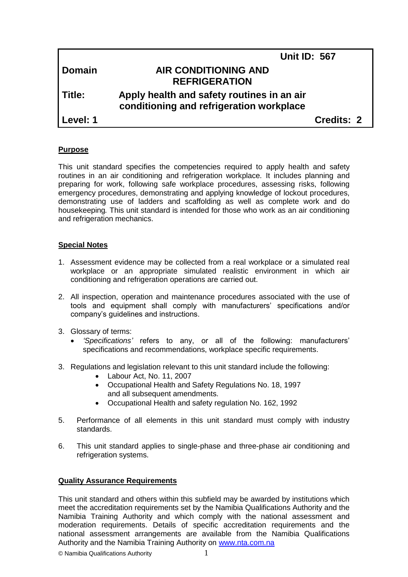|               | <b>Unit ID: 567</b>                                                                    |            |
|---------------|----------------------------------------------------------------------------------------|------------|
| <b>Domain</b> | <b>AIR CONDITIONING AND</b><br><b>REFRIGERATION</b>                                    |            |
| Title:        | Apply health and safety routines in an air<br>conditioning and refrigeration workplace |            |
| Level: 1      |                                                                                        | Credits: 2 |
|               |                                                                                        |            |

## **Purpose**

This unit standard specifies the competencies required to apply health and safety routines in an air conditioning and refrigeration workplace*.* It includes planning and preparing for work, following safe workplace procedures, assessing risks, following emergency procedures, demonstrating and applying knowledge of lockout procedures, demonstrating use of ladders and scaffolding as well as complete work and do housekeeping*.* This unit standard is intended for those who work as an air conditioning and refrigeration mechanics.

## **Special Notes**

- 1. Assessment evidence may be collected from a real workplace or a simulated real workplace or an appropriate simulated realistic environment in which air conditioning and refrigeration operations are carried out.
- 2. All inspection, operation and maintenance procedures associated with the use of tools and equipment shall comply with manufacturers' specifications and/or company's guidelines and instructions.
- 3. Glossary of terms:
	- *'Specifications'* refers to any, or all of the following: manufacturers' specifications and recommendations, workplace specific requirements.
- 3. Regulations and legislation relevant to this unit standard include the following:
	- Labour Act, No. 11, 2007
	- Occupational Health and Safety Regulations No. 18, 1997 and all subsequent amendments.
	- Occupational Health and safety regulation No. 162, 1992
- 5. Performance of all elements in this unit standard must comply with industry standards.
- 6. This unit standard applies to single-phase and three-phase air conditioning and refrigeration systems.

#### **Quality Assurance Requirements**

This unit standard and others within this subfield may be awarded by institutions which meet the accreditation requirements set by the Namibia Qualifications Authority and the Namibia Training Authority and which comply with the national assessment and moderation requirements. Details of specific accreditation requirements and the national assessment arrangements are available from the Namibia Qualifications Authority and the Namibia Training Authority on [www.nta.com.na](http://www.nta.com.na/)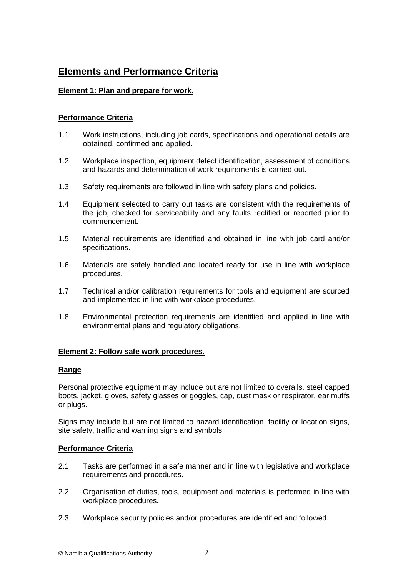# **Elements and Performance Criteria**

# **Element 1: Plan and prepare for work.**

# **Performance Criteria**

- 1.1 Work instructions, including job cards, specifications and operational details are obtained, confirmed and applied.
- 1.2 Workplace inspection, equipment defect identification, assessment of conditions and hazards and determination of work requirements is carried out.
- 1.3 Safety requirements are followed in line with safety plans and policies.
- 1.4 Equipment selected to carry out tasks are consistent with the requirements of the job, checked for serviceability and any faults rectified or reported prior to commencement.
- 1.5 Material requirements are identified and obtained in line with job card and/or specifications.
- 1.6 Materials are safely handled and located ready for use in line with workplace procedures.
- 1.7 Technical and/or calibration requirements for tools and equipment are sourced and implemented in line with workplace procedures.
- 1.8 Environmental protection requirements are identified and applied in line with environmental plans and regulatory obligations.

# **Element 2: Follow safe work procedures.**

# **Range**

Personal protective equipment may include but are not limited to overalls, steel capped boots, jacket, gloves, safety glasses or goggles, cap, dust mask or respirator, ear muffs or plugs.

Signs may include but are not limited to hazard identification, facility or location signs, site safety, traffic and warning signs and symbols.

# **Performance Criteria**

- 2.1 Tasks are performed in a safe manner and in line with legislative and workplace requirements and procedures.
- 2.2 Organisation of duties, tools, equipment and materials is performed in line with workplace procedures.
- 2.3 Workplace security policies and/or procedures are identified and followed.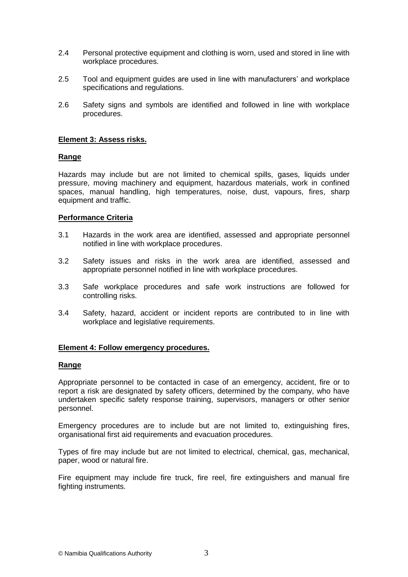- 2.4 Personal protective equipment and clothing is worn, used and stored in line with workplace procedures.
- 2.5 Tool and equipment guides are used in line with manufacturers' and workplace specifications and regulations.
- 2.6 Safety signs and symbols are identified and followed in line with workplace procedures.

#### **Element 3: Assess risks.**

## **Range**

Hazards may include but are not limited to chemical spills, gases, liquids under pressure, moving machinery and equipment, hazardous materials, work in confined spaces, manual handling, high temperatures, noise, dust, vapours, fires, sharp equipment and traffic.

## **Performance Criteria**

- 3.1 Hazards in the work area are identified, assessed and appropriate personnel notified in line with workplace procedures.
- 3.2 Safety issues and risks in the work area are identified, assessed and appropriate personnel notified in line with workplace procedures.
- 3.3 Safe workplace procedures and safe work instructions are followed for controlling risks.
- 3.4 Safety, hazard, accident or incident reports are contributed to in line with workplace and legislative requirements.

#### **Element 4: Follow emergency procedures.**

# **Range**

Appropriate personnel to be contacted in case of an emergency, accident, fire or to report a risk are designated by safety officers, determined by the company, who have undertaken specific safety response training, supervisors, managers or other senior personnel.

Emergency procedures are to include but are not limited to, extinguishing fires, organisational first aid requirements and evacuation procedures.

Types of fire may include but are not limited to electrical, chemical, gas, mechanical, paper, wood or natural fire.

Fire equipment may include fire truck, fire reel, fire extinguishers and manual fire fighting instruments.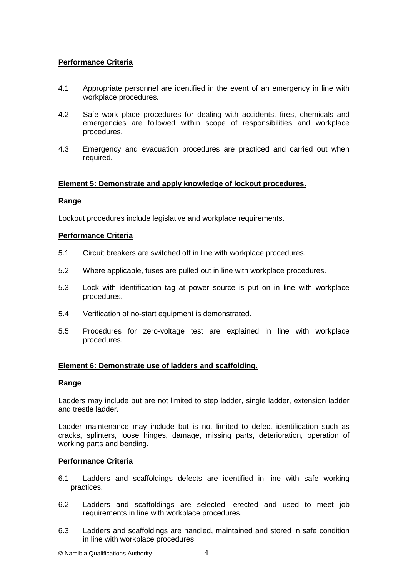# **Performance Criteria**

- 4.1 Appropriate personnel are identified in the event of an emergency in line with workplace procedures.
- 4.2 Safe work place procedures for dealing with accidents, fires, chemicals and emergencies are followed within scope of responsibilities and workplace procedures.
- 4.3 Emergency and evacuation procedures are practiced and carried out when required.

## **Element 5: Demonstrate and apply knowledge of lockout procedures.**

## **Range**

Lockout procedures include legislative and workplace requirements.

## **Performance Criteria**

- 5.1 Circuit breakers are switched off in line with workplace procedures.
- 5.2 Where applicable, fuses are pulled out in line with workplace procedures.
- 5.3 Lock with identification tag at power source is put on in line with workplace procedures.
- 5.4 Verification of no-start equipment is demonstrated.
- 5.5 Procedures for zero-voltage test are explained in line with workplace procedures.

#### **Element 6: Demonstrate use of ladders and scaffolding.**

#### **Range**

Ladders may include but are not limited to step ladder, single ladder, extension ladder and trestle ladder.

Ladder maintenance may include but is not limited to defect identification such as cracks, splinters, loose hinges, damage, missing parts, deterioration, operation of working parts and bending.

#### **Performance Criteria**

- 6.1 Ladders and scaffoldings defects are identified in line with safe working practices.
- 6.2 Ladders and scaffoldings are selected, erected and used to meet job requirements in line with workplace procedures.
- 6.3 Ladders and scaffoldings are handled, maintained and stored in safe condition in line with workplace procedures.